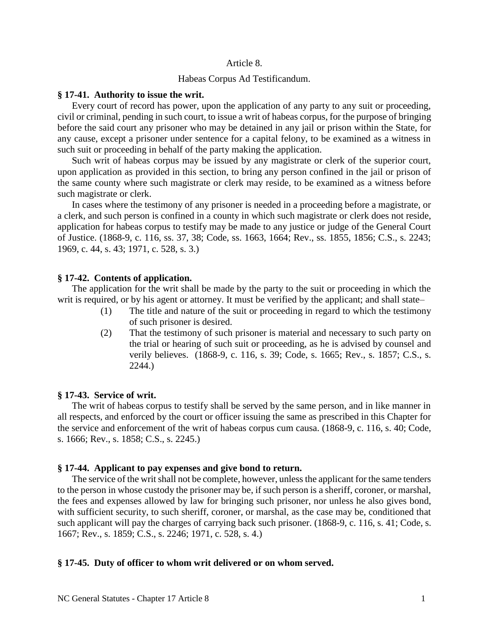## Article 8.

# Habeas Corpus Ad Testificandum.

### **§ 17-41. Authority to issue the writ.**

Every court of record has power, upon the application of any party to any suit or proceeding, civil or criminal, pending in such court, to issue a writ of habeas corpus, for the purpose of bringing before the said court any prisoner who may be detained in any jail or prison within the State, for any cause, except a prisoner under sentence for a capital felony, to be examined as a witness in such suit or proceeding in behalf of the party making the application.

Such writ of habeas corpus may be issued by any magistrate or clerk of the superior court, upon application as provided in this section, to bring any person confined in the jail or prison of the same county where such magistrate or clerk may reside, to be examined as a witness before such magistrate or clerk.

In cases where the testimony of any prisoner is needed in a proceeding before a magistrate, or a clerk, and such person is confined in a county in which such magistrate or clerk does not reside, application for habeas corpus to testify may be made to any justice or judge of the General Court of Justice. (1868-9, c. 116, ss. 37, 38; Code, ss. 1663, 1664; Rev., ss. 1855, 1856; C.S., s. 2243; 1969, c. 44, s. 43; 1971, c. 528, s. 3.)

# **§ 17-42. Contents of application.**

The application for the writ shall be made by the party to the suit or proceeding in which the writ is required, or by his agent or attorney. It must be verified by the applicant; and shall state–

- (1) The title and nature of the suit or proceeding in regard to which the testimony of such prisoner is desired.
- (2) That the testimony of such prisoner is material and necessary to such party on the trial or hearing of such suit or proceeding, as he is advised by counsel and verily believes. (1868-9, c. 116, s. 39; Code, s. 1665; Rev., s. 1857; C.S., s. 2244.)

# **§ 17-43. Service of writ.**

The writ of habeas corpus to testify shall be served by the same person, and in like manner in all respects, and enforced by the court or officer issuing the same as prescribed in this Chapter for the service and enforcement of the writ of habeas corpus cum causa. (1868-9, c. 116, s. 40; Code, s. 1666; Rev., s. 1858; C.S., s. 2245.)

# **§ 17-44. Applicant to pay expenses and give bond to return.**

The service of the writ shall not be complete, however, unless the applicant for the same tenders to the person in whose custody the prisoner may be, if such person is a sheriff, coroner, or marshal, the fees and expenses allowed by law for bringing such prisoner, nor unless he also gives bond, with sufficient security, to such sheriff, coroner, or marshal, as the case may be, conditioned that such applicant will pay the charges of carrying back such prisoner. (1868-9, c. 116, s. 41; Code, s. 1667; Rev., s. 1859; C.S., s. 2246; 1971, c. 528, s. 4.)

## **§ 17-45. Duty of officer to whom writ delivered or on whom served.**